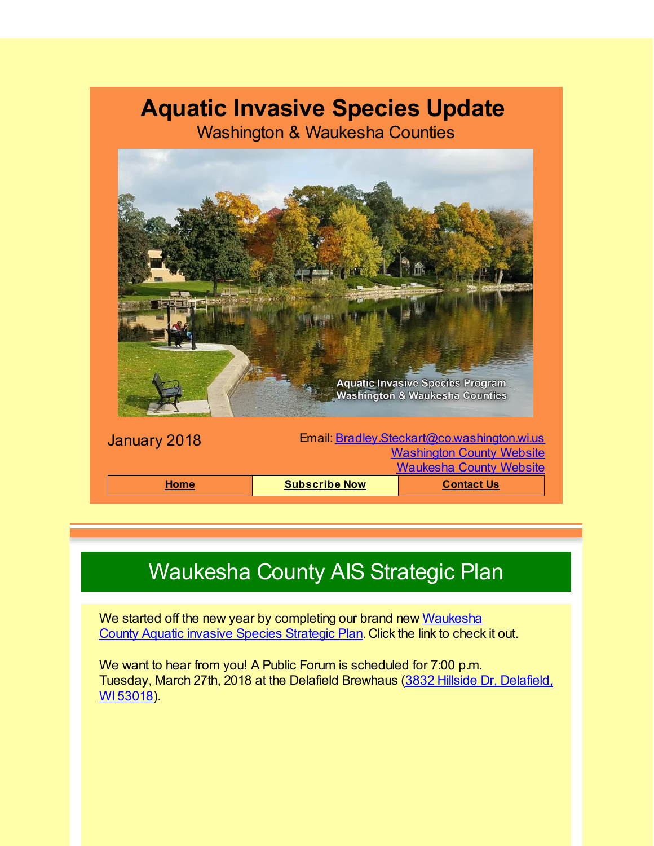#### **Aquatic Invasive Species Update**

Washington & Waukesha Counties



# Waukesha County AIS Strategic Plan

We started off the new year by [completing](http://r20.rs6.net/tn.jsp?f=001WRWX73Pp1mq9X6SvcrTUhSSl1Krsuyo_0AhiaZUYIsrBvXcWDviOO-bcq_vmawkQGkmgNuwfej3xgi3446oSUlIbGDXGvd-3Yq-qOCXpKnD2kZrQQV-Xidz7Qf941O6XI6vHwOj9h1ewa86riakdWtS73PvlBYa1c-GRbiPoalI4NG72mjoCZn_wpD2pgVfUefVHMe1FATDuqu-vBgTCk8JxaWNHkzW4N2HQiyxwSkMHhJjDTyL95_tBqqHpQDEyd7ragJwZ6mIGnR5b0s8Q0IHEgnZ0x2VJDvKcdeq9iKcI6Mb18Zdz2lh6LD9D8mqkVKKmZIUYrCgFT0A4q4d8VMF3wnp6UQP36So8IlkynDo-Ert7FdzbnRMAadk54e4r&c=&ch=) our brand new Waukesha County Aquatic invasive Species Strategic Plan. Click the link to check it out.

We want to hear from you! A Public Forum is scheduled for 7:00 p.m. Tuesday, March 27th, 2018 at the Delafield [Brewhaus](http://r20.rs6.net/tn.jsp?f=001WRWX73Pp1mq9X6SvcrTUhSSl1Krsuyo_0AhiaZUYIsrBvXcWDviOO-bcq_vmawkQvYcHloB9wvG9eFPm5eHUjgEsVNze454QiMmmb3LFTCogwSmslRNjJKC87ZiQoOahENsC6xAUbuhATxtoADoGZstqAlO1dC0nvIsrmfwwNvoXDn3DZsY1Nq8lLKaEFhzHWAFjmfA8YilWFqSCtfYeaSwoUiFNqE6FC-rDy0QvwG6OitPC5ysrmw1mbY6tlPDu4xSJLB-R8CvX10hpC4Yhsa9e5eZ9fvtH91a06zJS-mZHeX8a9954JeZ3dfxXk3iwqu8Ivx4oQOPwcp53vzVwi9fxf7rMCaeWm4cnGfaUA_4eOgs9CgEhxckFhEhaOxUijUQUtk9hF2GQrK5LcHeIgMo1OM0XjWD9p6skxhTgQeUA9N8SMwup5vm0FtNlQtOCbEdEnmYL7cPSCEgJ3vZGSdLOCyWtg7RIMQuGj0tXnOc27wkpXA7HtG0-MLOGC1_YCpe1hcO0cy1oEDn2XuIDH0vttfJdTVoLz7vKvcy1HywqmqZBpArL-xfrfNMgM9fnaWR50eopcUOUn0WPBc_eQQ==&c=&ch=) (3832 Hillside Dr, Delafield, WI 53018).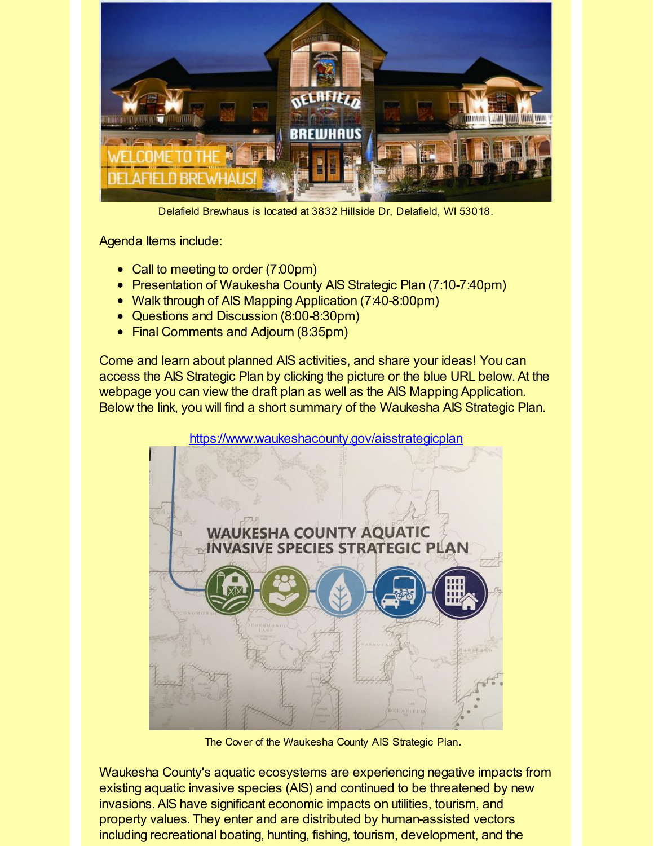

Delafield Brewhaus is located at 3832 Hillside Dr, Delafield, WI 53018.

Agenda Items include:

- Call to meeting to order (7:00pm)
- Presentation of Waukesha County AIS Strategic Plan (7:10-7:40pm)
- Walk through of AIS Mapping Application (7:40-8:00pm)
- Questions and Discussion (8:00-8:30pm)
- Final Comments and Adjourn (8:35pm)

Come and learn about planned AIS activities, and share your ideas! You can access the AIS Strategic Plan by clicking the picture or the blue URL below.At the webpage you can view the draft plan as well as the AIS Mapping Application. Below the link, you will find a short summary of the Waukesha AIS Strategic Plan.

[https://www.waukeshacounty.gov/aisstrategicplan](http://r20.rs6.net/tn.jsp?f=001WRWX73Pp1mq9X6SvcrTUhSSl1Krsuyo_0AhiaZUYIsrBvXcWDviOO-bcq_vmawkQGkmgNuwfej3xgi3446oSUlIbGDXGvd-3Yq-qOCXpKnD2kZrQQV-Xidz7Qf941O6XI6vHwOj9h1ewa86riakdWtS73PvlBYa1c-GRbiPoalI4NG72mjoCZn_wpD2pgVfUefVHMe1FATDuqu-vBgTCk8JxaWNHkzW4N2HQiyxwSkMHhJjDTyL95_tBqqHpQDEyd7ragJwZ6mIGnR5b0s8Q0IHEgnZ0x2VJDvKcdeq9iKcI6Mb18Zdz2lh6LD9D8mqkVKKmZIUYrCgFT0A4q4d8VMF3wnp6UQP36So8IlkynDo-Ert7FdzbnRMAadk54e4r&c=&ch=)



The Cover of the Waukesha County AIS Strategic Plan.

Waukesha County's aquatic ecosystems are experiencing negative impacts from existing aquatic invasive species (AIS) and continued to be threatened by new invasions.AIS have significant economic impacts on utilities, tourism, and property values. They enter and are distributed by human-assisted vectors including recreational boating, hunting, fishing, tourism, development, and the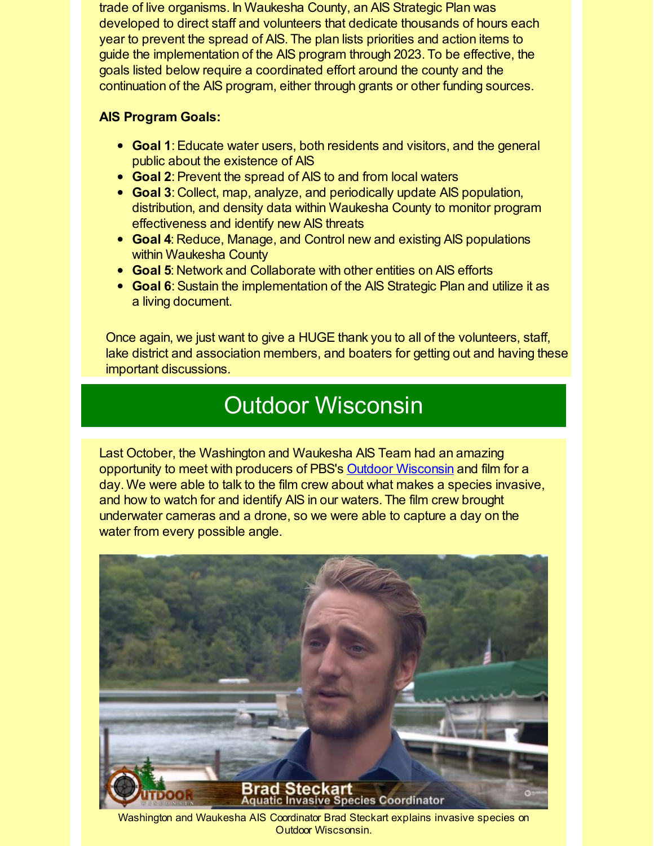trade of live organisms. In Waukesha County, an AIS Strategic Plan was developed to direct staff and volunteers that dedicate thousands of hours each year to prevent the spread of AIS. The plan lists priorities and action items to guide the implementation of the AIS program through 2023. To be effective, the goals listed below require a coordinated effort around the county and the continuation of the AIS program, either through grants or other funding sources.

#### **AIS Program Goals:**

- **Goal 1**:Educate water users, both residents and visitors, and the general public about the existence of AIS
- **Goal 2:** Prevent the spread of AIS to and from local waters
- **Goal 3**: Collect, map, analyze, and periodically update AIS population, distribution, and density data within Waukesha County to monitor program effectiveness and identify new AIS threats
- **Goal 4**: Reduce, Manage, and Control new and existing AIS populations within Waukesha County
- **Goal 5**: Network and Collaborate with other entities on AIS efforts
- **Goal 6**: Sustain the implementation of the AIS Strategic Plan and utilize it as a living document.

Once again, we just want to give a HUGE thank you to all of the volunteers, staff, lake district and association members, and boaters for getting out and having these important discussions.

#### Outdoor Wisconsin

Last October, the Washington and Waukesha AIS Team had an amazing opportunity to meet with producers of PBS's Outdoor [Wisconsin](http://r20.rs6.net/tn.jsp?f=001WRWX73Pp1mq9X6SvcrTUhSSl1Krsuyo_0AhiaZUYIsrBvXcWDviOO-bcq_vmawkQ3MUZ3vuydhfCeWIwURJiYIDERNC6WyY_KsmINzWrhVl-KFm4dRf799NHYcxt_6ketmNwsD8n5fT-Hrkj9vZZ2mX-T7AQ8LZmSH1Oy4hfIiYsD5t3d8LgrVTTWbKA3DBONNkuMkqYP2H1IivsZ04sRXrMAlrtONG8tRLzxAjPnl8IBBRgj2yocyukf3Y95kFN2WvlyU23KA9V8NtwSqtcW_9YNW6L_1g-SQ0OSitDE_3iMQyzQSp0eGMA3b8D0Kbrcqyv5yw-hFpdM6smr1gxhDPex-OPFkjC&c=&ch=) and film for a day. We were able to talk to the film crew about what makes a species invasive, and how to watch for and identify AIS in our waters. The film crew brought underwater cameras and a drone, so we were able to capture a day on the water from every possible angle.



Washington and Waukesha AIS Coordinator Brad Steckart explains invasive species on Outdoor Wiscsonsin.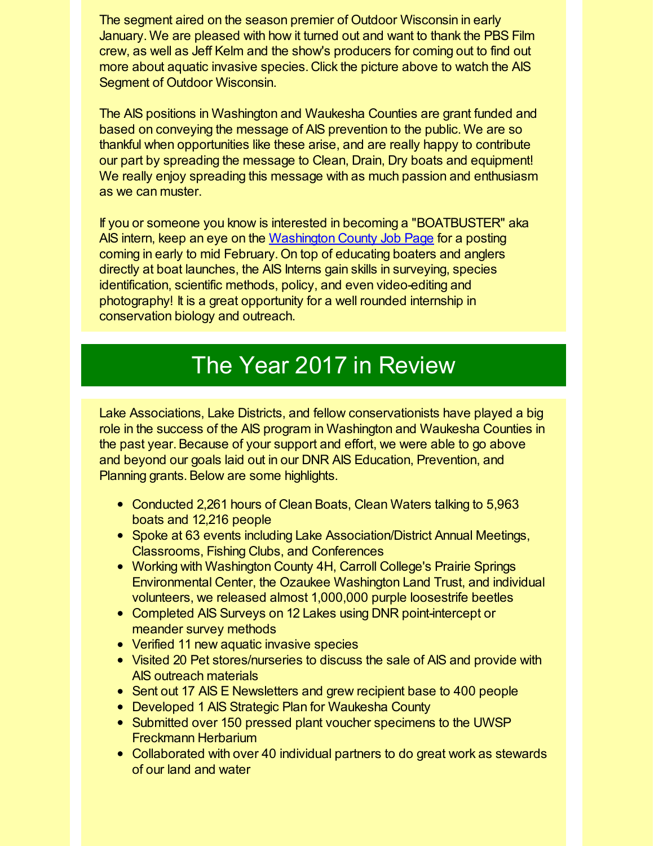The segment aired on the season premier of Outdoor Wisconsin in early January. We are pleased with how it turned out and want to thank the PBS Film crew, as well as Jeff Kelm and the show's producers for coming out to find out more about aquatic invasive species. Click the picture above to watch the AIS Segment of Outdoor Wisconsin.

The AIS positions in Washington and Waukesha Counties are grant funded and based on conveying the message of AIS prevention to the public. We are so thankful when opportunities like these arise, and are really happy to contribute our part by spreading the message to Clean, Drain, Dry boats and equipment! We really enjoy spreading this message with as much passion and enthusiasm as we can muster.

If you or someone you know is interested in becoming a "BOATBUSTER" aka AIS intern, keep an eye on the [Washington](http://r20.rs6.net/tn.jsp?f=001WRWX73Pp1mq9X6SvcrTUhSSl1Krsuyo_0AhiaZUYIsrBvXcWDviOO-bcq_vmawkQhiHnfg4jW5DS8N9e6lhfGso3_Dwd33cg0PBsrNo9WDhu9Jin5U5c98FpEzOT2reQGcB8CfInjf9OGS1sHJFa_JN8sQWwJgtIx3rLT-HeQVEhC78iY_TdW2OUug-lpRzhGFCtLK--1pMIb2BH2M7GHLC0LDcWHelGuT2tzmaIOV-c6nr_95PdWlfZ3Ha5zxDDHqsSG9pHSqkcbqNvvVFl-ECdZQBXIt7fKENQ7LYEHXUEnkQwHxWAzAd__DAMido6tSrYhFczvAlBeYW3-qUg6QNrCmPe3n7zFCuaUrmfa6hKCrZGDhuciNLzMPUH3TSsf8CdYAQ2KnrxSUT9ZfqBQbvrbnvcktv-xZ_wNC1TUh1s2NE1YwZmJpFdEhWlgZ_A&c=&ch=) County Job Page for a posting coming in early to mid February. On top of educating boaters and anglers directly at boat launches, the AIS Interns gain skills in surveying, species identification, scientific methods, policy, and even video-editing and photography! It is a great opportunity for a well rounded internship in conservation biology and outreach.

## The Year 2017 in Review

Lake Associations, Lake Districts, and fellow conservationists have played a big role in the success of the AIS program in Washington and Waukesha Counties in the past year.Because of your support and effort, we were able to go above and beyond our goals laid out in our DNR AIS Education, Prevention, and Planning grants. Below are some highlights.

- Conducted 2,261 hours of Clean Boats, Clean Waters talking to 5,963 boats and 12,216 people
- Spoke at 63 events including Lake Association/District Annual Meetings, Classrooms, Fishing Clubs, and Conferences
- Working with Washington County 4H, Carroll College's Prairie Springs Environmental Center, the Ozaukee Washington Land Trust, and individual volunteers, we released almost 1,000,000 purple loosestrife beetles
- Completed AIS Surveys on 12 Lakes using DNR point-intercept or meander survey methods
- Verified 11 new aquatic invasive species
- Visited 20 Pet stores/nurseries to discuss the sale of AIS and provide with AIS outreach materials
- Sent out 17 AIS E Newsletters and grew recipient base to 400 people
- Developed 1 AIS Strategic Plan for Waukesha County
- Submitted over 150 pressed plant voucher specimens to the UWSP Freckmann Herbarium
- Collaborated with over 40 individual partners to do great work as stewards of our land and water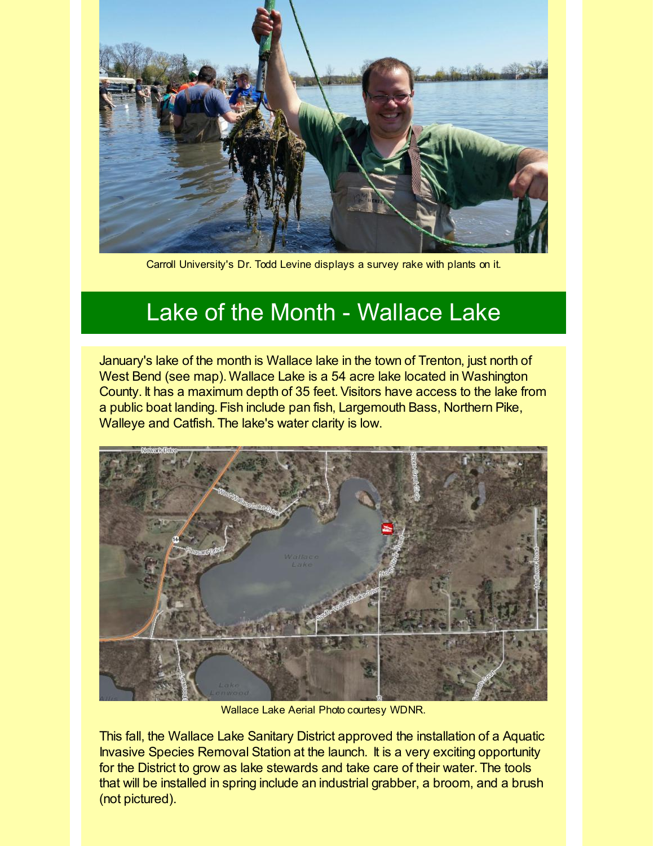

Carroll University's Dr. Todd Levine displays a survey rake with plants on it.

## Lake of the Month - Wallace Lake

January's lake of the month is Wallace lake in the town of Trenton, just north of West Bend (see map). Wallace Lake is a 54 acre lake located in Washington County. It has a maximum depth of 35 feet.Visitors have access to the lake from a public boat landing. Fish include pan fish, Largemouth Bass, Northern Pike, Walleye and Catfish. The lake's water clarity is low.



Wallace Lake Aerial Photo courtesy WDNR.

This fall, the Wallace Lake Sanitary District approved the installation of a Aquatic Invasive Species Removal Station at the launch. It is a very exciting opportunity for the District to grow as lake stewards and take care of their water. The tools that will be installed in spring include an industrial grabber, a broom, and a brush (not pictured).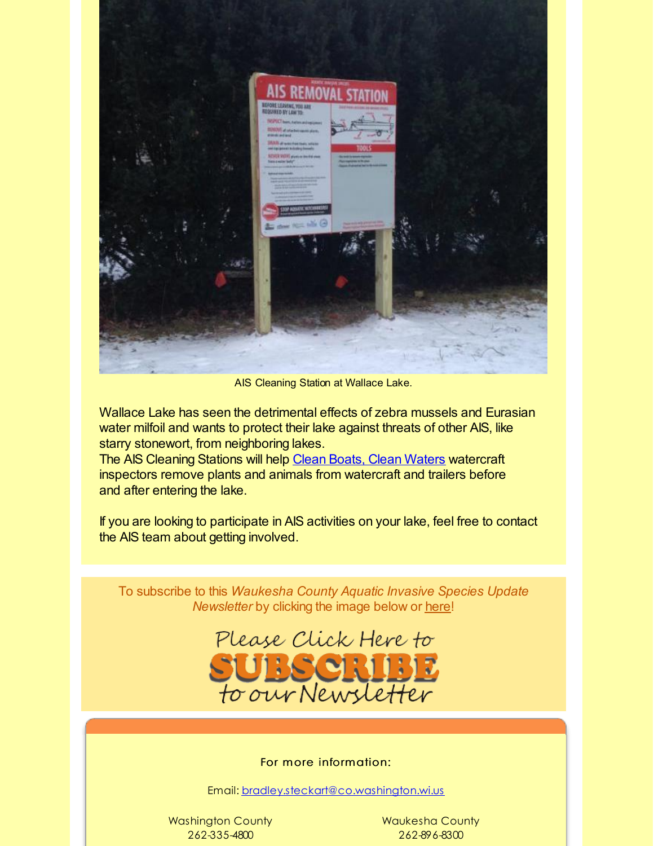

AIS Cleaning Station at Wallace Lake.

Wallace Lake has seen the detrimental effects of zebra mussels and Eurasian water milfoil and wants to protect their lake against threats of other AIS, like starry stonewort, from neighboring lakes.

The AIS Cleaning Stations will help Clean Boats, Clean [Waters](http://r20.rs6.net/tn.jsp?f=001WRWX73Pp1mq9X6SvcrTUhSSl1Krsuyo_0AhiaZUYIsrBvXcWDviOO8BQ0hEha5rizX5jxJvazCM1x_bhdkcqC3uLXUQXBIXYVI2TtS9330NREJiE7qWacHm-No-9Uu1W40hzXYhQ2oQzINmwNSEYZGl0sxxwOq4ZJkDuQvGmAFOGQQ7NLDIwTAFOrOMm4I_YmjbRVglgq05Z__1rA540d6gZDBeGZ1upgXLYAOIFTmlz3T2vWvFSBxl0B4IYxUBjCpds6w8Cfk7c1SXL3s5bbRe6EWZhghB8T79IMtLOUruPT_AKISO-KCDkq5VFpdCFRj7tQGZw_AfFGz47JPV_bsvB85tMlnq4zS9DIZiwlOg=&c=&ch=) watercraft inspectors remove plants and animals from watercraft and trailers before and after entering the lake.

If you are looking to participate in AIS activities on your lake, feel free to contact the AIS team about getting involved.

To subscribe to this *Waukesha County Aquatic Invasive Species Update Newsletter* by clicking the image below or [here](http://visitor.r20.constantcontact.com/d.jsp?llr=kfohqmcab&p=oi&m=1102078785706&sit=mdwsaogdb&f=72c567dd-ea1f-46d9-a3b3-0487646a78a3)!



#### For more information:

Email: [bradley.steckart@co.washington.wi.us](mailto:bradley.steckart@co.washington.wi.us)

Washington County 262-335-4800

Waukesha County 262-896-8300